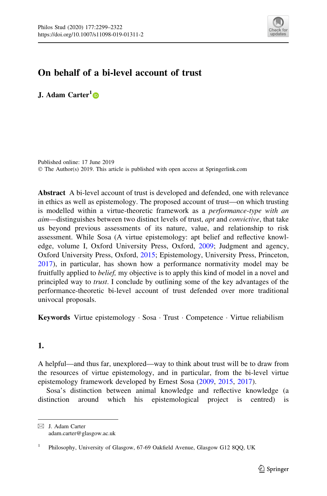

# On behalf of a bi-level account of trust

J. Adam Carter<sup>1</sup> $\bullet$ 

Published online: 17 June 2019 © The Author(s) 2019. This article is published with open access at Springerlink.com

Abstract A bi-level account of trust is developed and defended, one with relevance in ethics as well as epistemology. The proposed account of trust—on which trusting is modelled within a virtue-theoretic framework as a performance-type with an aim—distinguishes between two distinct levels of trust, apt and convictive, that take us beyond previous assessments of its nature, value, and relationship to risk assessment. While Sosa (A virtue epistemology: apt belief and reflective knowledge, volume I, Oxford University Press, Oxford, [2009](#page-23-0); Judgment and agency, Oxford University Press, Oxford, [2015;](#page-23-0) Epistemology, University Press, Princeton, [2017\)](#page-23-0), in particular, has shown how a performance normativity model may be fruitfully applied to *belief*, my objective is to apply this kind of model in a novel and principled way to *trust*. I conclude by outlining some of the key advantages of the performance-theoretic bi-level account of trust defended over more traditional univocal proposals.

Keywords Virtue epistemology · Sosa · Trust · Competence · Virtue reliabilism

## 1.

A helpful—and thus far, unexplored—way to think about trust will be to draw from the resources of virtue epistemology, and in particular, from the bi-level virtue epistemology framework developed by Ernest Sosa ([2009,](#page-23-0) [2015](#page-23-0), [2017](#page-23-0)).

Sosa's distinction between animal knowledge and reflective knowledge (a distinction around which his epistemological project is centred) is

& J. Adam Carter adam.carter@glasgow.ac.uk

<sup>&</sup>lt;sup>1</sup> Philosophy, University of Glasgow, 67-69 Oakfield Avenue, Glasgow G12 8QQ, UK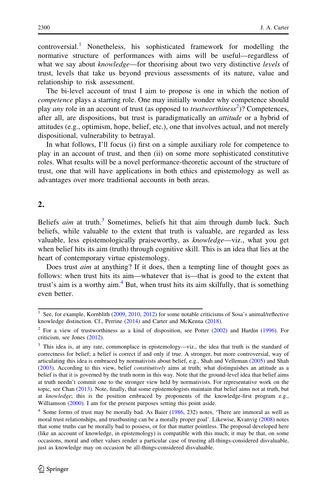$control<sup>1</sup>$ . Nonetheless, his sophisticated framework for modelling the normative structure of performances with aims will be useful—regardless of what we say about *knowledge*—for theorising about two very distinctive *levels* of trust, levels that take us beyond previous assessments of its nature, value and relationship to risk assessment.

The bi-level account of trust I aim to propose is one in which the notion of competence plays a starring role. One may initially wonder why competence should play any role in an account of trust (as opposed to *trustworthiness*<sup>2</sup>)? Competences, after all, are dispositions, but trust is paradigmatically an attitude or a hybrid of attitudes (e.g., optimism, hope, belief, etc.), one that involves actual, and not merely dispositional, vulnerability to betrayal.

In what follows, I'll focus (i) first on a simple auxiliary role for competence to play in an account of trust, and then (ii) on some more sophisticated constitutive roles. What results will be a novel performance-theoretic account of the structure of trust, one that will have applications in both ethics and epistemology as well as advantages over more traditional accounts in both areas.

## 2.

Beliefs  $aim$  at truth.<sup>3</sup> Sometimes, beliefs hit that aim through dumb luck. Such beliefs, while valuable to the extent that truth is valuable, are regarded as less valuable, less epistemologically praiseworthy, as knowledge-viz., what you get when belief hits its aim (truth) through cognitive skill. This is an idea that lies at the heart of contemporary virtue epistemology.

Does trust *aim* at anything? If it does, then a tempting line of thought goes as follows: when trust hits its aim—whatever that is—that is good to the extent that trust's aim is a worthy aim. $4$  But, when trust hits its aim skilfully, that is something even better.

<sup>&</sup>lt;sup>1</sup> See, for example, Kornblith [\(2009](#page-22-0), [2010](#page-22-0), [2012](#page-23-0)) for some notable criticisms of Sosa's animal/reflective knowledge distinction. Cf., Perrine ([2014\)](#page-23-0) and Carter and McKenna ([2018\)](#page-22-0).

 $2$  For a view of trustworthiness as a kind of disposition, see Potter [\(2002](#page-23-0)) and Hardin [\(1996](#page-22-0)). For criticism, see Jones [\(2012](#page-22-0)).

<sup>&</sup>lt;sup>3</sup> This idea is, at any rate, commonplace in epistemology—viz., the idea that truth is the standard of correctness for belief; a belief is correct if and only if true. A stronger, but more controversial, way of articulating this idea is embraced by normativists about belief, e.g., Shah and Velleman ([2005\)](#page-23-0) and Shah ([2003\)](#page-23-0). According to this view, belief constitutively aims at truth; what distinguishes an attitude as a belief is that it is governed by the truth norm in this way. Note that the ground-level idea that belief aims at truth needn't commit one to the stronger view held by normativists. For representative work on the topic, see Chan [\(2013\)](#page-22-0). Note, finally, that some epistemologists maintain that belief aims not at truth, but at knowledge; this is the position embraced by proponents of the knowledge-first program e.g., Williamson ([2000](#page-23-0)). I am for the present purposes setting this point aside.

<sup>4</sup> Some forms of trust may be morally bad. As Baier ([1986](#page-22-0), 232) notes, 'There are immoral as well as moral trust relationships, and trustbusting can be a morally proper goal'. Likewise, Kvanvig ([2008\)](#page-23-0) notes that some truths can be morally bad to possess, or for that matter pointless. The proposal developed here (like an account of knowledge, in epistemology) is compatible with this much; it may be that, on some occasions, moral and other values render a particular case of trusting all-things-considered disvaluable, just as knowledge may on occasion be all-things-considered disvaluable.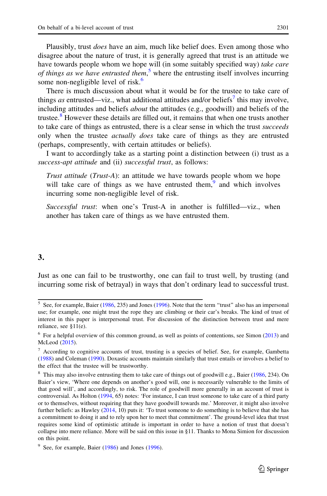Plausibly, trust *does* have an aim, much like belief does. Even among those who disagree about the nature of trust, it is generally agreed that trust is an attitude we have towards people whom we hope will (in some suitably specified way) take care of things as we have entrusted them,<sup>5</sup> where the entrusting itself involves incurring some non-negligible level of risk.<sup>6</sup>

There is much discussion about what it would be for the trustee to take care of things as entrusted—viz., what additional attitudes and/or beliefs<sup>7</sup> this may involve. including attitudes and beliefs about the attitudes (e.g., goodwill) and beliefs of the trustee.<sup>8</sup> However these details are filled out, it remains that when one trusts another to take care of things as entrusted, there is a clear sense in which the trust *succeeds* only when the trustee *actually does* take care of things as they are entrusted (perhaps, compresently, with certain attitudes or beliefs).

I want to accordingly take as a starting point a distinction between (i) trust as a success-apt attitude and (ii) successful trust, as follows:

Trust attitude (Trust-A): an attitude we have towards people whom we hope will take care of things as we have entrusted them, $9$  and which involves incurring some non-negligible level of risk.

Successful trust: when one's Trust-A in another is fulfilled—viz., when another has taken care of things as we have entrusted them.

## 3.

Just as one can fail to be trustworthy, one can fail to trust well, by trusting (and incurring some risk of betrayal) in ways that don't ordinary lead to successful trust.

 $<sup>5</sup>$  See, for example, Baier [\(1986](#page-22-0), 235) and Jones [\(1996](#page-22-0)). Note that the term "trust" also has an impersonal</sup> use; for example, one might trust the rope they are climbing or their car's breaks. The kind of trust of interest in this paper is interpersonal trust. For discussion of the distinction between trust and mere reliance, see §11(e).

 $6\degree$  For a helpful overview of this common ground, as well as points of contentions, see Simon [\(2013\)](#page-23-0) and McLeod [\(2015](#page-23-0)).

<sup>7</sup> According to cognitive accounts of trust, trusting is a species of belief. See, for example, Gambetta ([1988\)](#page-22-0) and Coleman [\(1990](#page-22-0)). Doxastic accounts maintain similarly that trust entails or involves a belief to the effect that the trustee will be trustworthy.

<sup>&</sup>lt;sup>8</sup> This may also involve entrusting them to take care of things out of goodwill e.g., Baier [\(1986](#page-22-0), 234). On Baier's view, 'Where one depends on another's good will, one is necessarily vulnerable to the limits of that good will', and accordingly, to risk. The role of goodwill more generally in an account of trust is controversial. As Holton ([1994,](#page-22-0) 65) notes: 'For instance, I can trust someone to take care of a third party or to themselves, without requiring that they have goodwill towards me.' Moreover, it might also involve further beliefs: as Hawley ([2014,](#page-22-0) 10) puts it: 'To trust someone to do something is to believe that she has a commitment to doing it and to rely upon her to meet that commitment'. The ground-level idea that trust requires some kind of optimistic attitude is important in order to have a notion of trust that doesn't collapse into mere reliance. More will be said on this issue in §11. Thanks to Mona Simion for discussion on this point.

 $9$  See, for example, Baier [\(1986](#page-22-0)) and Jones ([1996\)](#page-22-0).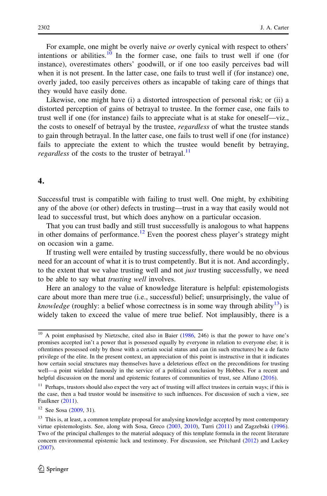For example, one might be overly naive *or* overly cynical with respect to others' intentions or abilities.<sup>10</sup> In the former case, one fails to trust well if one (for instance), overestimates others' goodwill, or if one too easily perceives bad will when it is not present. In the latter case, one fails to trust well if (for instance) one, overly jaded, too easily perceives others as incapable of taking care of things that they would have easily done.

Likewise, one might have (i) a distorted introspection of personal risk; or (ii) a distorted perception of gains of betrayal to trustee. In the former case, one fails to trust well if one (for instance) fails to appreciate what is at stake for oneself—viz., the costs to oneself of betrayal by the trustee, *regardless* of what the trustee stands to gain through betrayal. In the latter case, one fails to trust well if one (for instance) fails to appreciate the extent to which the trustee would benefit by betraying, *regardless* of the costs to the truster of betrayal.<sup>11</sup>

#### 4.

Successful trust is compatible with failing to trust well. One might, by exhibiting any of the above (or other) defects in trusting—trust in a way that easily would not lead to successful trust, but which does anyhow on a particular occasion.

That you can trust badly and still trust successfully is analogous to what happens in other domains of performance.<sup>12</sup> Even the poorest chess player's strategy might on occasion win a game.

If trusting well were entailed by trusting successfully, there would be no obvious need for an account of what it is to trust competently. But it is not. And accordingly, to the extent that we value trusting well and not *just* trusting successfully, we need to be able to say what trusting well involves.

Here an analogy to the value of knowledge literature is helpful: epistemologists care about more than mere true (i.e., successful) belief; unsurprisingly, the value of *knowledge* (roughly: a belief whose correctness is in some way through ability<sup>13</sup>) is widely taken to exceed the value of mere true belief. Not implausibly, there is a

<sup>&</sup>lt;sup>10</sup> A point emphasised by Nietzsche, cited also in Baier ([1986,](#page-22-0) 246) is that the power to have one's promises accepted isn't a power that is possessed equally by everyone in relation to everyone else; it is oftentimes possessed only by those with a certain social status and can (in such structures) be a de facto privilege of the elite. In the present context, an appreciation of this point is instructive in that it indicates how certain social structures may themselves have a deleterious effect on the preconditions for trusting well—a point wielded famously in the service of a political conclusion by Hobbes. For a recent and helpful discussion on the moral and epistemic features of communities of trust, see Alfano [\(2016](#page-22-0)).

<sup>&</sup>lt;sup>11</sup> Perhaps, trustors should also expect the very act of trusting will affect trustees in certain ways; if this is the case, then a bad trustor would be insensitive to such influences. For discussion of such a view, see Faulkner ([2011\)](#page-22-0).

<sup>&</sup>lt;sup>12</sup> See Sosa [\(2009](#page-23-0), 31).

<sup>&</sup>lt;sup>13</sup> This is, at least, a common template proposal for analysing knowledge accepted by most contemporary virtue epistemologists. See, along with Sosa, Greco ([2003,](#page-22-0) [2010\)](#page-22-0), Turri [\(2011](#page-23-0)) and Zagzebski ([1996\)](#page-23-0). Two of the principal challenges to the material adequacy of this template formula in the recent literature concern environmental epistemic luck and testimony. For discussion, see Pritchard ([2012\)](#page-23-0) and Lackey ([2007\)](#page-23-0).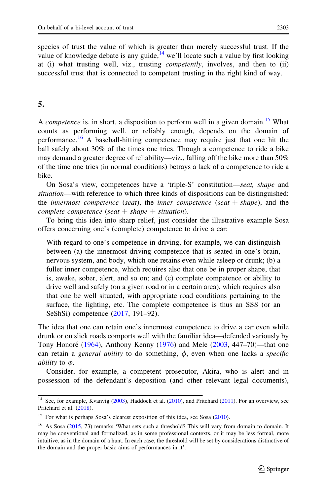species of trust the value of which is greater than merely successful trust. If the value of knowledge debate is any guide,  $14$  we'll locate such a value by first looking at (i) what trusting well, viz., trusting competently, involves, and then to (ii) successful trust that is connected to competent trusting in the right kind of way.

## 5.

A *competence* is, in short, a disposition to perform well in a given domain.<sup>15</sup> What counts as performing well, or reliably enough, depends on the domain of performance.<sup>16</sup> A baseball-hitting competence may require just that one hit the ball safely about 30% of the times one tries. Though a competence to ride a bike may demand a greater degree of reliability—viz., falling off the bike more than 50% of the time one tries (in normal conditions) betrays a lack of a competence to ride a bike.

On Sosa's view, competences have a 'triple-S' constitution—seat, shape and situation—with reference to which three kinds of dispositions can be distinguished: the *innermost competence* (*seat*), the *inner competence* (*seat*  $+$  *shape*), and the complete competence (seat  $+$  shape  $+$  situation).

To bring this idea into sharp relief, just consider the illustrative example Sosa offers concerning one's (complete) competence to drive a car:

With regard to one's competence in driving, for example, we can distinguish between (a) the innermost driving competence that is seated in one's brain, nervous system, and body, which one retains even while asleep or drunk; (b) a fuller inner competence, which requires also that one be in proper shape, that is, awake, sober, alert, and so on; and (c) complete competence or ability to drive well and safely (on a given road or in a certain area), which requires also that one be well situated, with appropriate road conditions pertaining to the surface, the lighting, etc. The complete competence is thus an SSS (or an SeShSi) competence [\(2017](#page-23-0), 191–92).

The idea that one can retain one's innermost competence to drive a car even while drunk or on slick roads comports well with the familiar idea—defended variously by Tony Honoré [\(1964](#page-22-0)), Anthony Kenny ([1976\)](#page-22-0) and Mele [\(2003,](#page-23-0) 447–70)—that one can retain a general ability to do something,  $\phi$ , even when one lacks a specific ability to  $\phi$ .

Consider, for example, a competent prosecutor, Akira, who is alert and in possession of the defendant's deposition (and other relevant legal documents),

<sup>&</sup>lt;sup>14</sup> See, for example, Kvanvig [\(2003](#page-23-0)), Haddock et al. [\(2010\)](#page-22-0), and Pritchard [\(2011\)](#page-23-0). For an overview, see Pritchard et al. [\(2018](#page-23-0)).

<sup>&</sup>lt;sup>15</sup> For what is perhaps Sosa's clearest exposition of this idea, see Sosa ([2010\)](#page-23-0).

<sup>&</sup>lt;sup>16</sup> As Sosa ([2015,](#page-23-0) 73) remarks 'What sets such a threshold? This will vary from domain to domain. It may be conventional and formalized, as in some professional contexts, or it may be less formal, more intuitive, as in the domain of a hunt. In each case, the threshold will be set by considerations distinctive of the domain and the proper basic aims of performances in it'.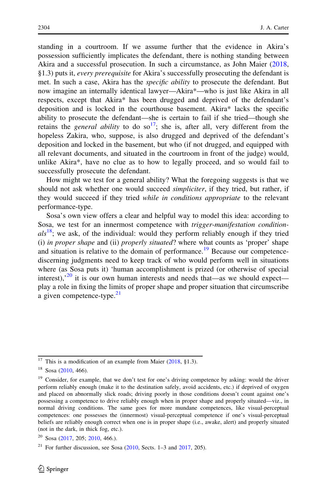standing in a courtroom. If we assume further that the evidence in Akira's possession sufficiently implicates the defendant, there is nothing standing between Akira and a successful prosecution. In such a circumstance, as John Maier ([2018,](#page-23-0) §1.3) puts it, every prerequisite for Akira's successfully prosecuting the defendant is met. In such a case, Akira has the *specific ability* to prosecute the defendant. But now imagine an internally identical lawyer—Akira\*—who is just like Akira in all respects, except that Akira\* has been drugged and deprived of the defendant's deposition and is locked in the courthouse basement. Akira\* lacks the specific ability to prosecute the defendant—she is certain to fail if she tried—though she retains the *general ability* to do so<sup>17</sup>; she is, after all, very different from the hopeless Zakira, who, suppose, is also drugged and deprived of the defendant's deposition and locked in the basement, but who (if not drugged, and equipped with all relevant documents, and situated in the courtroom in front of the judge) would, unlike Akira\*, have no clue as to how to legally proceed, and so would fail to successfully prosecute the defendant.

How might we test for a general ability? What the foregoing suggests is that we should not ask whether one would succeed *simpliciter*, if they tried, but rather, if they would succeed if they tried *while in conditions appropriate* to the relevant performance-type.

Sosa's own view offers a clear and helpful way to model this idea: according to Sosa, we test for an innermost competence with trigger-manifestation condition $als<sup>18</sup>$ ; we ask, of the individual: would they perform reliably enough if they tried (i) in proper shape and (ii) properly situated? where what counts as 'proper' shape and situation is relative to the domain of performance.<sup>19</sup> Because our competencediscerning judgments need to keep track of who would perform well in situations where (as Sosa puts it) 'human accomplishment is prized (or otherwise of special interest),<sup>20</sup> it is our own human interests and needs that—as we should expect play a role in fixing the limits of proper shape and proper situation that circumscribe a given competence-type. $2<sup>1</sup>$ 

<sup>&</sup>lt;sup>17</sup> This is a modification of an example from Maier  $(2018, §1.3)$  $(2018, §1.3)$  $(2018, §1.3)$ .

 $18$  Sosa [\(2010](#page-23-0), 466).

<sup>&</sup>lt;sup>19</sup> Consider, for example, that we don't test for one's driving competence by asking: would the driver perform reliably enough (make it to the destination safely, avoid accidents, etc.) if deprived of oxygen and placed on abnormally slick roads; driving poorly in those conditions doesn't count against one's possessing a competence to drive reliably enough when in proper shape and properly situated—viz., in normal driving conditions. The same goes for more mundane competences, like visual-perceptual competences: one possesses the (innermost) visual-perceptual competence if one's visual-perceptual beliefs are reliably enough correct when one is in proper shape (i.e., awake, alert) and properly situated (not in the dark, in thick fog, etc.).

 $20$  Sosa [\(2017](#page-23-0), 205; [2010](#page-23-0), 466.).

<sup>&</sup>lt;sup>21</sup> For further discussion, see Sosa  $(2010, \text{Sects. } 1-3 \text{ and } 2017, 205)$  $(2010, \text{Sects. } 1-3 \text{ and } 2017, 205)$  $(2010, \text{Sects. } 1-3 \text{ and } 2017, 205)$  $(2010, \text{Sects. } 1-3 \text{ and } 2017, 205)$  $(2010, \text{Sects. } 1-3 \text{ and } 2017, 205)$ .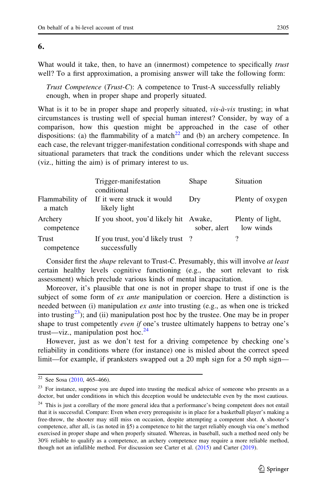#### 6.

What would it take, then, to have an (innermost) competence to specifically *trust* well? To a first approximation, a promising answer will take the following form:

Trust Competence (Trust-C): A competence to Trust-A successfully reliably enough, when in proper shape and properly situated.

What is it to be in proper shape and properly situated,  $vis-\hat{a}-vis$  trusting; in what circumstances is trusting well of special human interest? Consider, by way of a comparison, how this question might be approached in the case of other dispositions: (a) the flammability of a match<sup>22</sup> and (b) an archery competence. In each case, the relevant trigger-manifestation conditional corresponds with shape and situational parameters that track the conditions under which the relevant success (viz., hitting the aim) is of primary interest to us.

|                            | Trigger-manifestation<br>conditional               | <b>Shape</b> | Situation                     |
|----------------------------|----------------------------------------------------|--------------|-------------------------------|
| Flammability of<br>a match | If it were struck it would<br>likely light         | Dry          | Plenty of oxygen              |
| Archery<br>competence      | If you shoot, you'd likely hit Awake,              | sober, alert | Plenty of light,<br>low winds |
| Trust<br>competence        | If you trust, you'd likely trust ?<br>successfully |              |                               |

Consider first the *shape* relevant to Trust-C. Presumably, this will involve at least certain healthy levels cognitive functioning (e.g., the sort relevant to risk assessment) which preclude various kinds of mental incapacitation.

Moreover, it's plausible that one is not in proper shape to trust if one is the subject of some form of ex ante manipulation or coercion. Here a distinction is needed between (i) manipulation *ex ante* into trusting (e.g., as when one is tricked into trusting<sup>23</sup>); and (ii) manipulation post hoc by the trustee. One may be in proper shape to trust competently *even if* one's trustee ultimately happens to betray one's trust—viz., manipulation post hoc. $24$ 

However, just as we don't test for a driving competence by checking one's reliability in conditions where (for instance) one is misled about the correct speed limit—for example, if pranksters swapped out a 20 mph sign for a 50 mph sign—

<sup>&</sup>lt;sup>22</sup> See Sosa [\(2010](#page-23-0), 465–466).

<sup>&</sup>lt;sup>23</sup> For instance, suppose you are duped into trusting the medical advice of someone who presents as a doctor, but under conditions in which this deception would be undetectable even by the most cautious.

<sup>&</sup>lt;sup>24</sup> This is just a corollary of the more general idea that a performance's being competent does not entail that it is successful. Compare: Even when every prerequisite is in place for a basketball player's making a free-throw, the shooter may still miss on occasion, despite attempting a competent shot. A shooter's competence, after all, is (as noted in §5) a competence to hit the target reliably enough via one's method exercised in proper shape and when properly situated. Whereas, in baseball, such a method need only be 30% reliable to qualify as a competence, an archery competence may require a more reliable method, though not an infallible method. For discussion see Carter et al. [\(2015](#page-22-0)) and Carter ([2019\)](#page-22-0).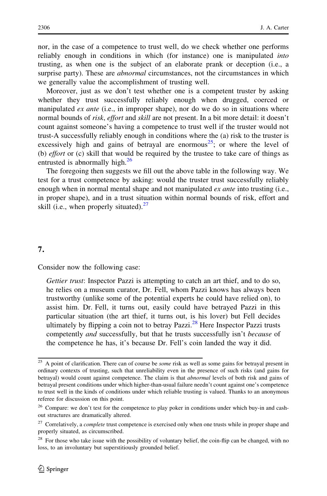nor, in the case of a competence to trust well, do we check whether one performs reliably enough in conditions in which (for instance) one is manipulated *into* trusting, as when one is the subject of an elaborate prank or deception (i.e., a surprise party). These are *abnormal* circumstances, not the circumstances in which we generally value the accomplishment of trusting well.

Moreover, just as we don't test whether one is a competent truster by asking whether they trust successfully reliably enough when drugged, coerced or manipulated *ex ante* (i.e., in improper shape), nor do we do so in situations where normal bounds of risk, effort and skill are not present. In a bit more detail: it doesn't count against someone's having a competence to trust well if the truster would not trust-A successfully reliably enough in conditions where the (a) risk to the truster is excessively high and gains of betrayal are enormous<sup>25</sup>; or where the level of (b) effort or (c) skill that would be required by the trustee to take care of things as entrusted is abnormally high.<sup>26</sup>

The foregoing then suggests we fill out the above table in the following way. We test for a trust competence by asking: would the truster trust successfully reliably enough when in normal mental shape and not manipulated *ex ante* into trusting (i.e., in proper shape), and in a trust situation within normal bounds of risk, effort and skill (i.e., when properly situated). $27$ 

#### 7.

Consider now the following case:

Gettier trust: Inspector Pazzi is attempting to catch an art thief, and to do so, he relies on a museum curator, Dr. Fell, whom Pazzi knows has always been trustworthy (unlike some of the potential experts he could have relied on), to assist him. Dr. Fell, it turns out, easily could have betrayed Pazzi in this particular situation (the art thief, it turns out, is his lover) but Fell decides ultimately by flipping a coin not to betray Pazzi.<sup>28</sup> Here Inspector Pazzi trusts competently and successfully, but that he trusts successfully isn't because of the competence he has, it's because Dr. Fell's coin landed the way it did.

 $25$  A point of clarification. There can of course be *some* risk as well as some gains for betrayal present in ordinary contexts of trusting, such that unreliability even in the presence of such risks (and gains for betrayal) would count against competence. The claim is that *abnormal* levels of both risk and gains of betrayal present conditions under which higher-than-usual failure needn't count against one's competence to trust well in the kinds of conditions under which reliable trusting is valued. Thanks to an anonymous referee for discussion on this point.

<sup>&</sup>lt;sup>26</sup> Compare: we don't test for the competence to play poker in conditions under which buy-in and cashout structures are dramatically altered.

<sup>&</sup>lt;sup>27</sup> Correlatively, a *complete* trust competence is exercised only when one trusts while in proper shape and properly situated, as circumscribed.

<sup>&</sup>lt;sup>28</sup> For those who take issue with the possibility of voluntary belief, the coin-flip can be changed, with no loss, to an involuntary but superstitiously grounded belief.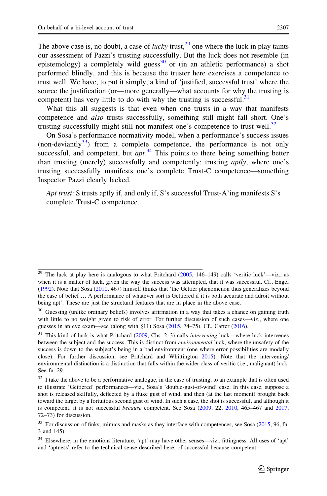The above case is, no doubt, a case of *lucky* trust,<sup>29</sup> one where the luck in play taints our assessment of Pazzi's trusting successfully. But the luck does not resemble (in epistemology) a completely wild guess<sup>30</sup> or (in an athletic performance) a shot performed blindly, and this is because the truster here exercises a competence to trust well. We have, to put it simply, a kind of 'justified, successful trust' where the source the justification (or—more generally—what accounts for why the trusting is competent) has very little to do with why the trusting is successful.<sup>31</sup>

What this all suggests is that even when one trusts in a way that manifests competence and *also* trusts successfully, something still might fall short. One's trusting successfully might still not manifest one's competence to trust well.<sup>32</sup>

On Sosa's performance normativity model, when a performance's success issues (non-deviantly<sup>33</sup>) from a complete competence, the performance is not only successful, and competent, but *apt.*<sup>34</sup> This points to there being something better than trusting (merely) successfully and competently: trusting *aptly*, where one's trusting successfully manifests one's complete Trust-C competence—something Inspector Pazzi clearly lacked.

Apt trust: S trusts aptly if, and only if, S's successful Trust-A'ing manifests S's complete Trust-C competence.

<sup>&</sup>lt;sup>29</sup> The luck at play here is analogous to what Pritchard  $(2005, 146-149)$  $(2005, 146-149)$  calls 'veritic luck'—viz., as when it is a matter of luck, given the way the success was attempted, that it was successful. Cf., Engel ([1992\)](#page-22-0). Note that Sosa ([2010,](#page-23-0) 467) himself thinks that 'the Gettier phenomenon thus generalizes beyond the case of belief … A performance of whatever sort is Gettiered if it is both accurate and adroit without being apt'. These are just the structural features that are in place in the above case.

<sup>&</sup>lt;sup>30</sup> Guessing (unlike ordinary beliefs) involves affirmation in a way that takes a chance on gaining truth with little to no weight given to risk of error. For further discussion of such cases—viz., where one guesses in an eye exam—see (along with §11) Sosa [\(2015](#page-23-0), 74–75). Cf., Carter ([2016\)](#page-22-0).

 $31$  This kind of luck is what Pritchard ([2009](#page-23-0), Chs. 2–3) calls *intervening* luck—where luck intervenes between the subject and the success. This is distinct from environmental luck, where the unsafety of the success is down to the subject's being in a bad environment (one where error possibilities are modally close). For further discussion, see Pritchard and Whittington [2015\)](#page-23-0). Note that the intervening/ environmental distinction is a distinction that falls within the wider class of veritic (i.e., malignant) luck. See fn. 29.

<sup>&</sup>lt;sup>32</sup> I take the above to be a performative analogue, in the case of trusting, to an example that is often used to illustrate 'Gettiered' performances—viz., Sosa's 'double-gust-of-wind' case. In this case, suppose a shot is released skilfully, deflected by a fluke gust of wind, and then (at the last moment) brought back toward the target by a fortuitous second gust of wind. In such a case, the shot is successful, and although it is competent, it is not successful because competent. See Sosa [\(2009](#page-23-0), 22; [2010,](#page-23-0) 465–467 and [2017](#page-23-0), 72–73) for discussion.

<sup>&</sup>lt;sup>33</sup> For discussion of finks, mimics and masks as they interface with competences, see Sosa ([2015,](#page-23-0) 96, fn. 3 and 145).

<sup>&</sup>lt;sup>34</sup> Elsewhere, in the emotions literature, 'apt' may have other senses—viz., fittingness. All uses of 'apt' and 'aptness' refer to the technical sense described here, of successful because competent.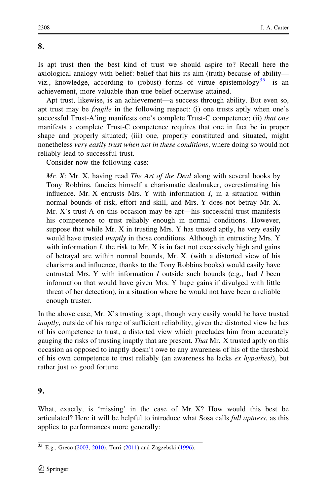## 8.

Is apt trust then the best kind of trust we should aspire to? Recall here the axiological analogy with belief: belief that hits its aim (truth) because of ability viz., knowledge, according to (robust) forms of virtue epistemology<sup>35</sup>—is an achievement, more valuable than true belief otherwise attained.

Apt trust, likewise, is an achievement—a success through ability. But even so, apt trust may be fragile in the following respect: (i) one trusts aptly when one's successful Trust-A'ing manifests one's complete Trust-C competence; (ii) that one manifests a complete Trust-C competence requires that one in fact be in proper shape and properly situated; (iii) one, properly constituted and situated, might nonetheless very easily trust when not in these conditions, where doing so would not reliably lead to successful trust.

Consider now the following case:

Mr. X: Mr. X, having read The Art of the Deal along with several books by Tony Robbins, fancies himself a charismatic dealmaker, overestimating his influence. Mr. X entrusts Mrs. Y with information  $I$ , in a situation within normal bounds of risk, effort and skill, and Mrs. Y does not betray Mr. X. Mr. X's trust-A on this occasion may be apt—his successful trust manifests his competence to trust reliably enough in normal conditions. However, suppose that while Mr. X in trusting Mrs. Y has trusted aptly, he very easily would have trusted *inaptly* in those conditions. Although in entrusting Mrs. Y with information  $I$ , the risk to Mr.  $X$  is in fact not excessively high and gains of betrayal are within normal bounds, Mr. X. (with a distorted view of his charisma and influence, thanks to the Tony Robbins books) would easily have entrusted Mrs. Y with information  $I$  outside such bounds (e.g., had  $I$  been information that would have given Mrs. Y huge gains if divulged with little threat of her detection), in a situation where he would not have been a reliable enough truster.

In the above case, Mr. X's trusting is apt, though very easily would he have trusted inaptly, outside of his range of sufficient reliability, given the distorted view he has of his competence to trust, a distorted view which precludes him from accurately gauging the risks of trusting inaptly that are present. That Mr. X trusted aptly on this occasion as opposed to inaptly doesn't owe to any awareness of his of the threshold of his own competence to trust reliably (an awareness he lacks ex hypothesi), but rather just to good fortune.

## 9.

What, exactly, is 'missing' in the case of Mr. X? How would this best be articulated? Here it will be helpful to introduce what Sosa calls *full aptness*, as this applies to performances more generally:

<sup>35</sup> E.g., Greco [\(2003](#page-22-0), [2010\)](#page-22-0), Turri ([2011\)](#page-23-0) and Zagzebski [\(1996\)](#page-23-0).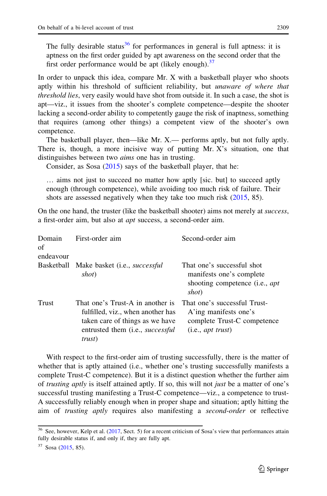The fully desirable status<sup>36</sup> for performances in general is full aptness: it is aptness on the first order guided by apt awareness on the second order that the first order performance would be apt (likely enough). $37$ 

In order to unpack this idea, compare Mr. X with a basketball player who shoots aptly within his threshold of sufficient reliability, but unaware of where that threshold lies, very easily would have shot from outside it. In such a case, the shot is apt—viz., it issues from the shooter's complete competence—despite the shooter lacking a second-order ability to competently gauge the risk of inaptness, something that requires (among other things) a competent view of the shooter's own competence.

The basketball player, then—like Mr. X.— performs aptly, but not fully aptly. There is, though, a more incisive way of putting Mr. X's situation, one that distinguishes between two *aims* one has in trusting.

Consider, as Sosa [\(2015](#page-23-0)) says of the basketball player, that he:

… aims not just to succeed no matter how aptly [sic. but] to succeed aptly enough (through competence), while avoiding too much risk of failure. Their shots are assessed negatively when they take too much risk ([2015,](#page-23-0) 85).

On the one hand, the truster (like the basketball shooter) aims not merely at success, a first-order aim, but also at apt success, a second-order aim.

| Domain<br>of<br>endeavour | First-order aim                                                                                                                                                        | Second-order aim                                                                                          |
|---------------------------|------------------------------------------------------------------------------------------------------------------------------------------------------------------------|-----------------------------------------------------------------------------------------------------------|
|                           | Basketball Make basket (i.e., <i>successful</i><br>shot)                                                                                                               | That one's successful shot<br>manifests one's complete<br>shooting competence (i.e., <i>apt</i><br>shot)  |
| Trust                     | That one's Trust-A in another is<br>fulfilled, viz., when another has<br>taken care of things as we have<br>entrusted them ( <i>i.e.</i> , <i>successful</i><br>trust) | That one's successful Trust-<br>A'ing manifests one's<br>complete Trust-C competence<br>(i.e., apt trust) |

With respect to the first-order aim of trusting successfully, there is the matter of whether that is aptly attained (i.e., whether one's trusting successfully manifests a complete Trust-C competence). But it is a distinct question whether the further aim of trusting aptly is itself attained aptly. If so, this will not just be a matter of one's successful trusting manifesting a Trust-C competence—viz., a competence to trust-A successfully reliably enough when in proper shape and situation; aptly hitting the aim of trusting aptly requires also manifesting a second-order or reflective

<sup>&</sup>lt;sup>36</sup> See, however, Kelp et al. [\(2017,](#page-22-0) Sect. 5) for a recent criticism of Sosa's view that performances attain fully desirable status if, and only if, they are fully apt.

 $37$  Sosa [\(2015](#page-23-0), 85).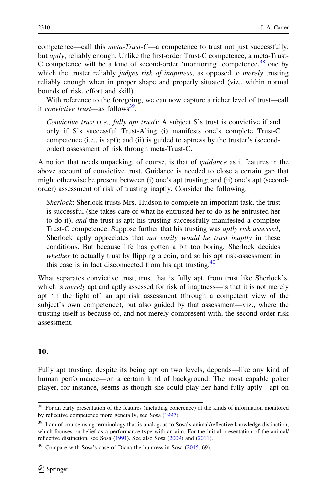competence—call this meta-Trust-C—a competence to trust not just successfully, but aptly, reliably enough. Unlike the first-order Trust-C competence, a meta-Trust-C competence will be a kind of second-order 'monitoring' competence,  $38$  one by which the truster reliably *judges risk of inaptness*, as opposed to *merely* trusting reliably enough when in proper shape and properly situated (viz., within normal bounds of risk, effort and skill).

With reference to the foregoing, we can now capture a richer level of trust—call it *convictive trust*—as follows<sup>39</sup>:

Convictive trust (i.e., fully apt trust): A subject S's trust is convictive if and only if S's successful Trust-A'ing (i) manifests one's complete Trust-C competence (i.e., is apt); and (ii) is guided to aptness by the truster's (secondorder) assessment of risk through meta-Trust-C.

A notion that needs unpacking, of course, is that of guidance as it features in the above account of convictive trust. Guidance is needed to close a certain gap that might otherwise be present between (i) one's apt trusting; and (ii) one's apt (secondorder) assessment of risk of trusting inaptly. Consider the following:

Sherlock: Sherlock trusts Mrs. Hudson to complete an important task, the trust is successful (she takes care of what he entrusted her to do as he entrusted her to do it), and the trust is apt: his trusting successfully manifested a complete Trust-C competence. Suppose further that his trusting was *aptly risk assessed*; Sherlock aptly appreciates that *not easily would he trust inaptly* in these conditions. But because life has gotten a bit too boring, Sherlock decides whether to actually trust by flipping a coin, and so his apt risk-assessment in this case is in fact disconnected from his apt trusting.<sup>40</sup>

What separates convictive trust, trust that is fully apt, from trust like Sherlock's, which is *merely* apt and aptly assessed for risk of inaptness—is that it is not merely apt 'in the light of' an apt risk assessment (through a competent view of the subject's own competence), but also guided by that assessment—viz., where the trusting itself is because of, and not merely compresent with, the second-order risk assessment.

#### 10.

Fully apt trusting, despite its being apt on two levels, depends—like any kind of human performance—on a certain kind of background. The most capable poker player, for instance, seems as though she could play her hand fully aptly—apt on

<sup>&</sup>lt;sup>38</sup> For an early presentation of the features (including coherence) of the kinds of information monitored by reflective competence more generally, see Sosa [\(1997](#page-23-0)).

<sup>&</sup>lt;sup>39</sup> I am of course using terminology that is analogous to Sosa's animal/reflective knowledge distinction, which focuses on belief as a performance-type with an aim. For the initial presentation of the animal/ reflective distinction, see Sosa ([1991\)](#page-23-0). See also Sosa [\(2009\)](#page-23-0) and ([2011\)](#page-23-0).

 $40$  Compare with Sosa's case of Diana the huntress in Sosa [\(2015](#page-23-0), 69).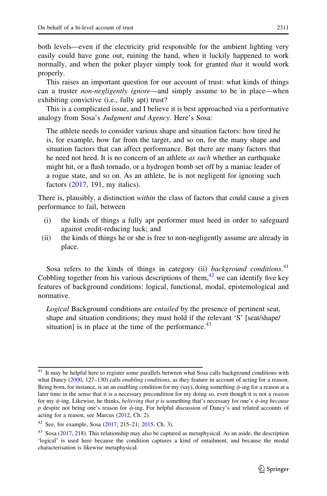both levels—even if the electricity grid responsible for the ambient lighting very easily could have gone out, ruining the hand, when it luckily happened to work normally, and when the poker player simply took for granted *that* it would work properly.

This raises an important question for our account of trust: what kinds of things can a truster non-negligently ignore—and simply assume to be in place—when exhibiting convictive (i.e., fully apt) trust?

This is a complicated issue, and I believe it is best approached via a performative analogy from Sosa's Judgment and Agency. Here's Sosa:

The athlete needs to consider various shape and situation factors: how tired he is, for example, how far from the target, and so on, for the many shape and situation factors that can affect performance. But there are many factors that he need not heed. It is no concern of an athlete as such whether an earthquake might hit, or a flash tornado, or a hydrogen bomb set off by a maniac leader of a rogue state, and so on. As an athlete, he is not negligent for ignoring such factors [\(2017](#page-23-0), 191, my italics).

There is, plausibly, a distinction *within* the class of factors that could cause a given performance to fail, between

- (i) the kinds of things a fully apt performer must heed in order to safeguard against credit-reducing luck; and
- (ii) the kinds of things he or she is free to non-negligently assume are already in place.

Sosa refers to the kinds of things in category (ii) background conditions.<sup>41</sup> Cobbling together from his various descriptions of them, $42$  we can identify five key features of background conditions: logical, functional, modal, epistemological and normative.

Logical Background conditions are *entailed* by the presence of pertinent seat, shape and situation conditions; they must hold if the relevant 'S' [seat/shape/ situation] is in place at the time of the performance. $43$ 

It may be helpful here to register some parallels between what Sosa calls background conditions with what Dancy ([2000](#page-22-0), 127-130) calls *enabling conditions*, as they feature in account of acting for a reason. Being born, for instance, is an an enabling condition for my (say), doing something  $\phi$ -ing for a reason at a later time in the sense that it is a necessary precondition for my doing so, even though it is not a *reason* for my  $\phi$ -ing. Likewise, he thinks, *believing that p* is something that's necessary for one's  $\phi$ -ing because p despite not being one's reason for  $\phi$ -ing. For helpful discussion of Dancy's and related accounts of acting for a reason, see Marcus ([2012,](#page-23-0) Ch. 2).

<sup>&</sup>lt;sup>42</sup> See, for example, Sosa  $(2017, 215-21; 2015, Ch. 3)$  $(2017, 215-21; 2015, Ch. 3)$  $(2017, 215-21; 2015, Ch. 3)$  $(2017, 215-21; 2015, Ch. 3)$ .

<sup>&</sup>lt;sup>43</sup> Sosa ([2017,](#page-23-0) 218). This relationship may also be captured as metaphysical. As an aside, the description 'logical' is used here because the condition captures a kind of entailment, and because the modal characterisation is likewise metaphysical.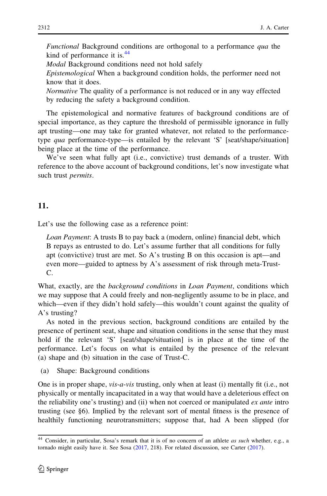Functional Background conditions are orthogonal to a performance qua the kind of performance it is.<sup>44</sup>

Modal Background conditions need not hold safely

Epistemological When a background condition holds, the performer need not know that it does.

Normative The quality of a performance is not reduced or in any way effected by reducing the safety a background condition.

The epistemological and normative features of background conditions are of special importance, as they capture the threshold of permissible ignorance in fully apt trusting—one may take for granted whatever, not related to the performancetype *qua* performance-type—is entailed by the relevant 'S' [seat/shape/situation] being place at the time of the performance.

We've seen what fully apt (i.e., convictive) trust demands of a truster. With reference to the above account of background conditions, let's now investigate what such trust *permits*.

## 11.

Let's use the following case as a reference point:

Loan Payment: A trusts B to pay back a (modern, online) financial debt, which B repays as entrusted to do. Let's assume further that all conditions for fully apt (convictive) trust are met. So A's trusting B on this occasion is apt—and even more—guided to aptness by A's assessment of risk through meta-Trust-C.

What, exactly, are the *background conditions* in *Loan Payment*, conditions which we may suppose that A could freely and non-negligently assume to be in place, and which—even if they didn't hold safely—this wouldn't count against the quality of A's trusting?

As noted in the previous section, background conditions are entailed by the presence of pertinent seat, shape and situation conditions in the sense that they must hold if the relevant 'S' [seat/shape/situation] is in place at the time of the performance. Let's focus on what is entailed by the presence of the relevant (a) shape and (b) situation in the case of Trust-C.

(a) Shape: Background conditions

One is in proper shape, vis-a-vis trusting, only when at least (i) mentally fit (i.e., not physically or mentally incapacitated in a way that would have a deleterious effect on the reliability one's trusting) and (ii) when not coerced or manipulated  $ex$  ante intro trusting (see §6). Implied by the relevant sort of mental fitness is the presence of healthily functioning neurotransmitters; suppose that, had A been slipped (for

<sup>&</sup>lt;sup>44</sup> Consider, in particular, Sosa's remark that it is of no concern of an athlete as such whether, e.g., a tornado might easily have it. See Sosa ([2017,](#page-23-0) 218). For related discussion, see Carter ([2017](#page-22-0)).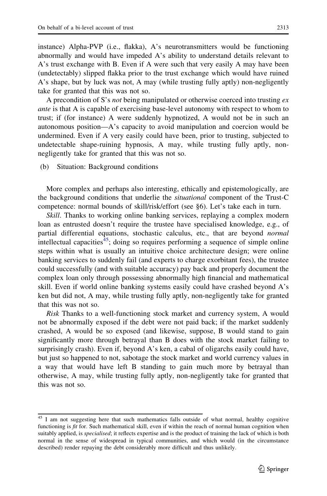instance) Alpha-PVP (i.e., flakka), A's neurotransmitters would be functioning abnormally and would have impeded A's ability to understand details relevant to A's trust exchange with B. Even if A were such that very easily A may have been (undetectably) slipped flakka prior to the trust exchange which would have ruined A's shape, but by luck was not, A may (while trusting fully aptly) non-negligently take for granted that this was not so.

A precondition of S's *not* being manipulated or otherwise coerced into trusting  $ex$ ante is that A is capable of exercising base-level autonomy with respect to whom to trust; if (for instance) A were suddenly hypnotized, A would not be in such an autonomous position—A's capacity to avoid manipulation and coercion would be undermined. Even if A very easily could have been, prior to trusting, subjected to undetectable shape-ruining hypnosis, A may, while trusting fully aptly, nonnegligently take for granted that this was not so.

(b) Situation: Background conditions

More complex and perhaps also interesting, ethically and epistemologically, are the background conditions that underlie the situational component of the Trust-C competence: normal bounds of skill/risk/effort (see §6). Let's take each in turn.

Skill. Thanks to working online banking services, replaying a complex modern loan as entrusted doesn't require the trustee have specialised knowledge, e.g., of partial differential equations, stochastic calculus, etc., that are beyond normal intellectual capacities<sup>45</sup>; doing so requires performing a sequence of simple online steps within what is usually an intuitive choice architecture design; were online banking services to suddenly fail (and experts to charge exorbitant fees), the trustee could successfully (and with suitable accuracy) pay back and properly document the complex loan only through possessing abnormally high financial and mathematical skill. Even if world online banking systems easily could have crashed beyond A's ken but did not, A may, while trusting fully aptly, non-negligently take for granted that this was not so.

Risk Thanks to a well-functioning stock market and currency system, A would not be abnormally exposed if the debt were not paid back; if the market suddenly crashed, A would be so exposed (and likewise, suppose, B would stand to gain significantly more through betrayal than B does with the stock market failing to surprisingly crash). Even if, beyond A's ken, a cabal of oligarchs easily could have, but just so happened to not, sabotage the stock market and world currency values in a way that would have left B standing to gain much more by betrayal than otherwise, A may, while trusting fully aptly, non-negligently take for granted that this was not so.

<sup>&</sup>lt;sup>45</sup> I am not suggesting here that such mathematics falls outside of what normal, healthy cognitive functioning is fit for. Such mathematical skill, even if within the reach of normal human cognition when suitably applied, is *specialised*; it reflects expertise and is the product of training the lack of which is both normal in the sense of widespread in typical communities, and which would (in the circumstance described) render repaying the debt considerably more difficult and thus unlikely.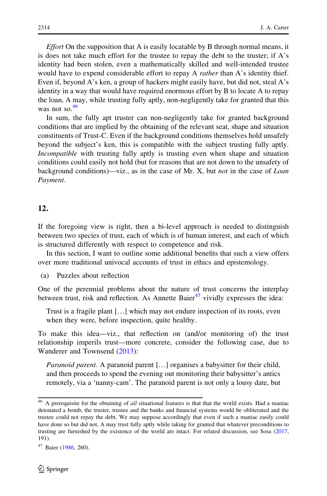Effort On the supposition that A is easily locatable by B through normal means, it is does not take much effort for the trustee to repay the debt to the truster; if A's identity had been stolen, even a mathematically skilled and well-intended trustee would have to expend considerable effort to repay A *rather* than A's identity thief. Even if, beyond A's ken, a group of hackers might easily have, but did not, steal A's identity in a way that would have required enormous effort by B to locate A to repay the loan, A may, while trusting fully aptly, non-negligently take for granted that this was not so. $46$ 

In sum, the fully apt truster can non-negligently take for granted background conditions that are implied by the obtaining of the relevant seat, shape and situation constituents of Trust-C. Even if the background conditions themselves hold unsafely beyond the subject's ken, this is compatible with the subject trusting fully aptly. Incompatible with trusting fully aptly is trusting even when shape and situation conditions could easily not hold (but for reasons that are not down to the unsafety of background conditions)—viz., as in the case of Mr. X, but not in the case of Loan Payment.

### 12.

If the foregoing view is right, then a bi-level approach is needed to distinguish between two species of trust, each of which is of human interest, and each of which is structured differently with respect to competence and risk.

In this section, I want to outline some additional benefits that such a view offers over more traditional univocal accounts of trust in ethics and epistemology.

(a) Puzzles about reflection

One of the perennial problems about the nature of trust concerns the interplay between trust, risk and reflection. As Annette Baier $^{47}$  vividly expresses the idea:

Trust is a fragile plant […] which may not endure inspection of its roots, even when they were, before inspection, quite healthy.

To make this idea—viz., that reflection on (and/or monitoring of) the trust relationship imperils trust—more concrete, consider the following case, due to Wanderer and Townsend ([2013\)](#page-23-0):

Paranoid parent. A paranoid parent [...] organises a babysitter for their child, and then proceeds to spend the evening out monitoring their babysitter's antics remotely, via a 'nanny-cam'. The paranoid parent is not only a lousy date, but

<sup>&</sup>lt;sup>46</sup> A prerequisite for the obtaining of all situational features is that that the world exists. Had a maniac detonated a bomb, the truster, trustee and the banks and financial systems would be obliterated and the trustee could not repay the debt. We may suppose accordingly that even if such a maniac easily could have done so but did not, A may trust fully aptly while taking for granted that whatever preconditions to trusting are furnished by the existence of the world are intact. For related discussion, see Sosa [\(2017](#page-23-0), 191).

<sup>47</sup> Baier ([1986](#page-22-0), 260).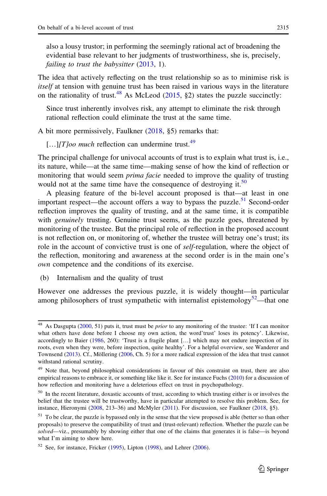also a lousy trustor; in performing the seemingly rational act of broadening the evidential base relevant to her judgments of trustworthiness, she is, precisely, failing to trust the babysitter ([2013,](#page-23-0) 1).

The idea that actively reflecting on the trust relationship so as to minimise risk is *itself* at tension with genuine trust has been raised in various ways in the literature on the rationality of trust.<sup>48</sup> As McLeod [\(2015](#page-23-0), §2) states the puzzle succinctly:

Since trust inherently involves risk, any attempt to eliminate the risk through rational reflection could eliminate the trust at the same time.

A bit more permissively, Faulkner ([2018](#page-22-0), §5) remarks that:

 $[...]$ [T]oo much reflection can undermine trust.<sup>49</sup>

The principal challenge for univocal accounts of trust is to explain what trust is, i.e., its nature, while—at the same time—making sense of how the kind of reflection or monitoring that would seem *prima facie* needed to improve the quality of trusting would not at the same time have the consequence of destroying it. $50$ 

A pleasing feature of the bi-level account proposed is that—at least in one important respect—the account offers a way to bypass the puzzle.<sup>51</sup> Second-order reflection improves the quality of trusting, and at the same time, it is compatible with *genuinely* trusting. Genuine trust seems, as the puzzle goes, threatened by monitoring of the trustee. But the principal role of reflection in the proposed account is not reflection on, or monitoring of, whether the trustee will betray one's trust; its role in the account of convictive trust is one of *self*-regulation, where the object of the reflection, monitoring and awareness at the second order is in the main one's own competence and the conditions of its exercise.

(b) Internalism and the quality of trust

However one addresses the previous puzzle, it is widely thought—in particular among philosophers of trust sympathetic with internalist epistemology<sup>52</sup>—that one

 $\overline{^{48}$  As Dasgupta [\(2000,](#page-22-0) 51) puts it, trust must be *prior* to any monitoring of the trustee: 'If I can monitor what others have done before I choose my own action, the word'trust' loses its potency'. Likewise, accordingly to Baier [\(1986](#page-22-0), 260): 'Trust is a fragile plant […] which may not endure inspection of its roots, even when they were, before inspection, quite healthy'. For a helpful overview, see Wanderer and Townsend ([2013\)](#page-23-0). Cf., Möllering [\(2006](#page-23-0), Ch. 5) for a more radical expression of the idea that trust cannot withstand rational scrutiny.

<sup>&</sup>lt;sup>49</sup> Note that, beyond philosophical considerations in favour of this constraint on trust, there are also empirical reasons to embrace it, or something like like it. See for instance Fuchs ([2010\)](#page-22-0) for a discussion of how reflection and monitoring have a deleterious effect on trust in psychopathology.

<sup>50</sup> In the recent literature, doxastic accounts of trust, according to which trusting either is or involves the belief that the trustee will be trustworthy, have in particular attempted to resolve this problem. See, for instance, Hieronymi ([2008,](#page-22-0) 213–36) and McMyler ([2011\)](#page-23-0). For discussion, see Faulkner ([2018,](#page-22-0) §5).

<sup>&</sup>lt;sup>51</sup> To be clear, the puzzle is bypassed only in the sense that the view proposed is able (better so than other proposals) to preserve the compatibility of trust and (trust-relevant) reflection. Whether the puzzle can be solved—viz., presumably by showing either that one of the claims that generates it is false—is beyond what I'm aiming to show here.

 $52$  See, for instance, Fricker [\(1995](#page-22-0)), Lipton ([1998\)](#page-23-0), and Lehrer ([2006\)](#page-23-0).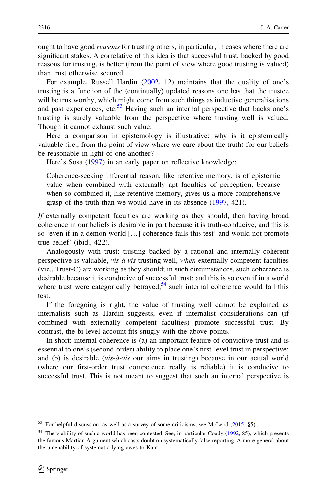ought to have good *reasons* for trusting others, in particular, in cases where there are significant stakes. A correlative of this idea is that successful trust, backed by good reasons for trusting, is better (from the point of view where good trusting is valued) than trust otherwise secured.

For example, Russell Hardin [\(2002](#page-22-0), 12) maintains that the quality of one's trusting is a function of the (continually) updated reasons one has that the trustee will be trustworthy, which might come from such things as inductive generalisations and past experiences, etc.<sup>53</sup> Having such an internal perspective that backs one's trusting is surely valuable from the perspective where trusting well is valued. Though it cannot exhaust such value.

Here a comparison in epistemology is illustrative: why is it epistemically valuable (i.e., from the point of view where we care about the truth) for our beliefs be reasonable in light of one another?

Here's Sosa ([1997\)](#page-23-0) in an early paper on reflective knowledge:

Coherence-seeking inferential reason, like retentive memory, is of epistemic value when combined with externally apt faculties of perception, because when so combined it, like retentive memory, gives us a more comprehensive grasp of the truth than we would have in its absence [\(1997](#page-23-0), 421).

If externally competent faculties are working as they should, then having broad coherence in our beliefs is desirable in part because it is truth-conducive, and this is so 'even if in a demon world […] coherence fails this test' and would not promote true belief' (ibid., 422).

Analogously with trust: trusting backed by a rational and internally coherent perspective is valuable, *vis-à-vis* trusting well, *when* externally competent faculties (viz., Trust-C) are working as they should; in such circumstances, such coherence is desirable because it is conducive of successful trust; and this is so even if in a world where trust were categorically betrayed,<sup>54</sup> such internal coherence would fail this test.

If the foregoing is right, the value of trusting well cannot be explained as internalists such as Hardin suggests, even if internalist considerations can (if combined with externally competent faculties) promote successful trust. By contrast, the bi-level account fits snugly with the above points.

In short: internal coherence is (a) an important feature of convictive trust and is essential to one's (second-order) ability to place one's first-level trust in perspective; and (b) is desirable ( $vis-\hat{a}-vis$  our aims in trusting) because in our actual world (where our first-order trust competence really is reliable) it is conducive to successful trust. This is not meant to suggest that such an internal perspective is

 $53$  For helpful discussion, as well as a survey of some criticisms, see McLeod [\(2015](#page-23-0), §5).

<sup>54</sup> The viability of such a world has been contested. See, in particular Coady [\(1992](#page-22-0), 85), which presents the famous Martian Argument which casts doubt on systematically false reporting. A more general about the untenability of systematic lying owes to Kant.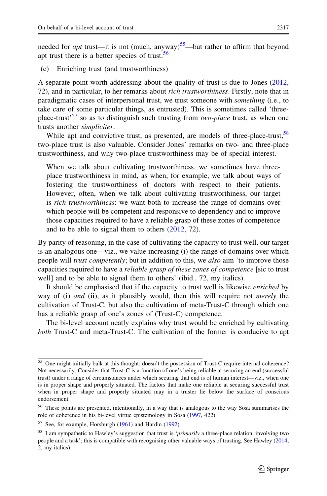needed for *apt* trust—it is not (much, anyway)<sup>55</sup>—but rather to affirm that beyond apt trust there is a better species of trust.<sup>56</sup>

(c) Enriching trust (and trustworthiness)

A separate point worth addressing about the quality of trust is due to Jones ([2012,](#page-22-0) 72), and in particular, to her remarks about rich trustworthiness. Firstly, note that in paradigmatic cases of interpersonal trust, we trust someone with something (i.e., to take care of some particular things, as entrusted). This is sometimes called 'threeplace-trust<sup>57</sup> so as to distinguish such trusting from *two-place* trust, as when one trusts another simpliciter.

While apt and convictive trust, as presented, are models of three-place-trust,<sup>58</sup> two-place trust is also valuable. Consider Jones' remarks on two- and three-place trustworthiness, and why two-place trustworthiness may be of special interest.

When we talk about cultivating trustworthiness, we sometimes have threeplace trustworthiness in mind, as when, for example, we talk about ways of fostering the trustworthiness of doctors with respect to their patients. However, often, when we talk about cultivating trustworthiness, our target is *rich trustworthiness*: we want both to increase the range of domains over which people will be competent and responsive to dependency and to improve those capacities required to have a reliable grasp of these zones of competence and to be able to signal them to others [\(2012](#page-22-0), 72).

By parity of reasoning, in the case of cultivating the capacity to trust well, our target is an analogous one—viz., we value increasing (i) the range of domains over which people will *trust competently*; but in addition to this, we *also* aim 'to improve those capacities required to have a *reliable grasp of these zones of competence* [sic to trust well] and to be able to signal them to others' (ibid., 72, my italics).

It should be emphasised that if the capacity to trust well is likewise enriched by way of (i) and (ii), as it plausibly would, then this will require not *merely* the cultivation of Trust-C, but also the cultivation of meta-Trust-C through which one has a reliable grasp of one's zones of (Trust-C) competence.

The bi-level account neatly explains why trust would be enriched by cultivating both Trust-C and meta-Trust-C. The cultivation of the former is conducive to apt

<sup>55</sup> One might initially balk at this thought; doesn't the possession of Trust-C require internal coherence? Not necessarily. Consider that Trust-C is a function of one's being reliable at securing an end (successful trust) under a range of circumstances under which securing that end is of human interest—viz., when one is in proper shape and properly situated. The factors that make one reliable at securing successful trust when in proper shape and properly situated may in a truster lie below the surface of conscious endorsement.

<sup>56</sup> These points are presented, intentionally, in a way that is analogous to the way Sosa summarises the role of coherence in his bi-level virtue epistemology in Sosa [\(1997](#page-23-0), 422).

<sup>57</sup> See, for example, Horsburgh [\(1961\)](#page-22-0) and Hardin ([1992\)](#page-22-0).

<sup>&</sup>lt;sup>58</sup> I am sympathetic to Hawley's suggestion that trust is 'primarily a three-place relation, involving two people and a task'; this is compatible with recognising other valuable ways of trusting. See Hawley [\(2014](#page-22-0), 2, my italics).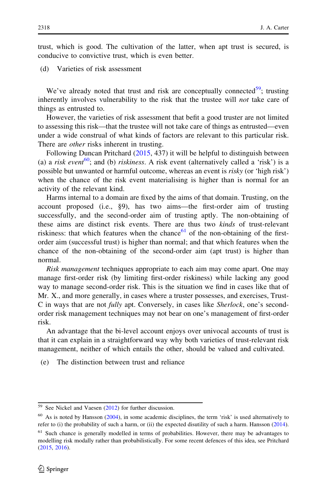trust, which is good. The cultivation of the latter, when apt trust is secured, is conducive to convictive trust, which is even better.

(d) Varieties of risk assessment

We've already noted that trust and risk are conceptually connected<sup>59</sup>; trusting inherently involves vulnerability to the risk that the trustee will not take care of things as entrusted to.

However, the varieties of risk assessment that befit a good truster are not limited to assessing this risk—that the trustee will not take care of things as entrusted—even under a wide construal of what kinds of factors are relevant to this particular risk. There are *other* risks inherent in trusting.

Following Duncan Pritchard [\(2015](#page-23-0), 437) it will be helpful to distinguish between (a) a risk event<sup>60</sup>; and (b) riskiness. A risk event (alternatively called a 'risk') is a possible but unwanted or harmful outcome, whereas an event is risky (or 'high risk') when the chance of the risk event materialising is higher than is normal for an activity of the relevant kind.

Harms internal to a domain are fixed by the aims of that domain. Trusting, on the account proposed (i.e., §9), has two aims—the first-order aim of trusting successfully, and the second-order aim of trusting aptly. The non-obtaining of these aims are distinct risk events. There are thus two kinds of trust-relevant riskiness: that which features when the chance<sup>61</sup> of the non-obtaining of the firstorder aim (successful trust) is higher than normal; and that which features when the chance of the non-obtaining of the second-order aim (apt trust) is higher than normal.

Risk management techniques appropriate to each aim may come apart. One may manage first-order risk (by limiting first-order riskiness) while lacking any good way to manage second-order risk. This is the situation we find in cases like that of Mr. X., and more generally, in cases where a truster possesses, and exercises, Trust-C in ways that are not fully apt. Conversely, in cases like Sherlock, one's secondorder risk management techniques may not bear on one's management of first-order risk.

An advantage that the bi-level account enjoys over univocal accounts of trust is that it can explain in a straightforward way why both varieties of trust-relevant risk management, neither of which entails the other, should be valued and cultivated.

(e) The distinction between trust and reliance

<sup>59</sup> See Nickel and Vaesen ([2012\)](#page-23-0) for further discussion.

 $60$  As is noted by Hansson [\(2004](#page-22-0)), in some academic disciplines, the term 'risk' is used alternatively to refer to (i) the probability of such a harm, or (ii) the expected disutility of such a harm. Hansson ([2014\)](#page-22-0).

<sup>&</sup>lt;sup>61</sup> Such chance is generally modelled in terms of probabilities. However, there may be advantages to modelling risk modally rather than probabilistically. For some recent defences of this idea, see Pritchard ([2015,](#page-23-0) [2016](#page-23-0)).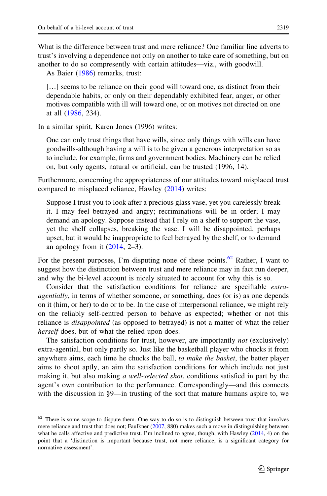What is the difference between trust and mere reliance? One familiar line adverts to trust's involving a dependence not only on another to take care of something, but on another to do so compresently with certain attitudes—viz., with goodwill.

As Baier [\(1986](#page-22-0)) remarks, trust:

[...] seems to be reliance on their good will toward one, as distinct from their dependable habits, or only on their dependably exhibited fear, anger, or other motives compatible with ill will toward one, or on motives not directed on one at all ([1986,](#page-22-0) 234).

In a similar spirit, Karen Jones (1996) writes:

One can only trust things that have wills, since only things with wills can have goodwills-although having a will is to be given a generous interpretation so as to include, for example, firms and government bodies. Machinery can be relied on, but only agents, natural or artificial, can be trusted (1996, 14).

Furthermore, concerning the appropriateness of our attitudes toward misplaced trust compared to misplaced reliance, Hawley [\(2014](#page-22-0)) writes:

Suppose I trust you to look after a precious glass vase, yet you carelessly break it. I may feel betrayed and angry; recriminations will be in order; I may demand an apology. Suppose instead that I rely on a shelf to support the vase, yet the shelf collapses, breaking the vase. I will be disappointed, perhaps upset, but it would be inappropriate to feel betrayed by the shelf, or to demand an apology from it  $(2014, 2-3)$  $(2014, 2-3)$  $(2014, 2-3)$ .

For the present purposes, I'm disputing none of these points.<sup>62</sup> Rather, I want to suggest how the distinction between trust and mere reliance may in fact run deeper, and why the bi-level account is nicely situated to account for why this is so.

Consider that the satisfaction conditions for reliance are specifiable extraagentially, in terms of whether someone, or something, does (or is) as one depends on it (him, or her) to do or to be. In the case of interpersonal reliance, we might rely on the reliably self-centred person to behave as expected; whether or not this reliance is *disappointed* (as opposed to betrayed) is not a matter of what the relier herself does, but of what the relied upon does.

The satisfaction conditions for trust, however, are importantly *not* (exclusively) extra-agential, but only partly so. Just like the basketball player who chucks it from anywhere aims, each time he chucks the ball, to make the basket, the better player aims to shoot aptly, an aim the satisfaction conditions for which include not just making it, but also making a well-selected shot, conditions satisfied in part by the agent's own contribution to the performance. Correspondingly—and this connects with the discussion in §9—in trusting of the sort that mature humans aspire to, we

 $62$  There is some scope to dispute them. One way to do so is to distinguish between trust that involves mere reliance and trust that does not; Faulkner ([2007,](#page-22-0) 880) makes such a move in distinguishing between what he calls affective and predictive trust. I'm inclined to agree, though, with Hawley ([2014,](#page-22-0) 4) on the point that a 'distinction is important because trust, not mere reliance, is a significant category for normative assessment'.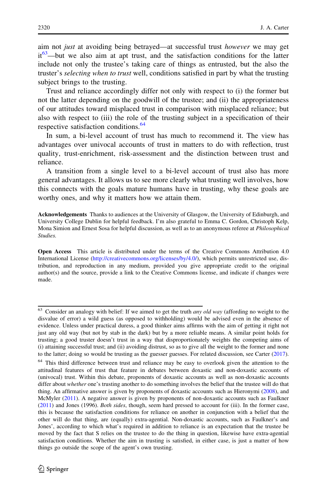aim not just at avoiding being betrayed—at successful trust however we may get  $it^{63}$ —but we also aim at apt trust, and the satisfaction conditions for the latter include not only the trustee's taking care of things as entrusted, but the also the truster's selecting when to trust well, conditions satisfied in part by what the trusting subject brings to the trusting.

Trust and reliance accordingly differ not only with respect to (i) the former but not the latter depending on the goodwill of the trustee; and (ii) the appropriateness of our attitudes toward misplaced trust in comparison with misplaced reliance; but also with respect to (iii) the role of the trusting subject in a specification of their respective satisfaction conditions.<sup>64</sup>

In sum, a bi-level account of trust has much to recommend it. The view has advantages over univocal accounts of trust in matters to do with reflection, trust quality, trust-enrichment, risk-assessment and the distinction between trust and reliance.

A transition from a single level to a bi-level account of trust also has more general advantages. It allows us to see more clearly what trusting well involves, how this connects with the goals mature humans have in trusting, why these goals are worthy ones, and why it matters how we attain them.

Acknowledgements Thanks to audiences at the University of Glasgow, the University of Edinburgh, and University College Dublin for helpful feedback. I'm also grateful to Emma C. Gordon, Christoph Kelp, Mona Simion and Ernest Sosa for helpful discussion, as well as to an anonymous referee at Philosophical Studies.

Open Access This article is distributed under the terms of the Creative Commons Attribution 4.0 International License ([http://creativecommons.org/licenses/by/4.0/\)](http://creativecommons.org/licenses/by/4.0/), which permits unrestricted use, distribution, and reproduction in any medium, provided you give appropriate credit to the original author(s) and the source, provide a link to the Creative Commons license, and indicate if changes were made.

<sup>&</sup>lt;sup>63</sup> Consider an analogy with belief: If we aimed to get the truth *any old way* (affording no weight to the disvalue of error) a wild guess (as opposed to withholding) would be advised even in the absence of evidence. Unless under practical duress, a good thinker aims affirms with the aim of getting it right not just any old way (but not by stab in the dark) but by a more reliable means. A similar point holds for trusting; a good truster doesn't trust in a way that disproportionately weights the competing aims of (i) attaining successful trust; and (ii) avoiding distrust, so as to give all the weight to the former and none to the latter; doing so would be trusting as the guesser guesses. For related discussion, see Carter ([2017\)](#page-22-0).

<sup>&</sup>lt;sup>64</sup> This third difference between trust and reliance may be easy to overlook given the attention to the attitudinal features of trust that feature in debates between doxastic and non-doxastic accounts of (univocal) trust. Within this debate, proponents of doxastic accounts as well as non-doxastic accounts differ about whether one's trusting another to do something involves the belief that the trustee will do that thing. An affirmative answer is given by proponents of doxastic accounts such as Hieronymi [\(2008\)](#page-22-0), and McMyler [\(2011](#page-23-0)). A negative answer is given by proponents of non-doxastic accounts such as Faulkner ([2011\)](#page-22-0) and Jones (1996). Both sides, though, seem hard pressed to account for (iii). In the former case, this is because the satisfaction conditions for reliance on another in conjunction with a belief that the other will do that thing, are (equally) extra-agential. Non-doxastic accounts, such as Faulkner's and Jones', according to which what's required in addition to reliance is an expectation that the trustee be moved by the fact that S relies on the trustee to do the thing in question, likewise have extra-agential satisfaction conditions. Whether the aim in trusting is satisfied, in either case, is just a matter of how things go outside the scope of the agent's own trusting.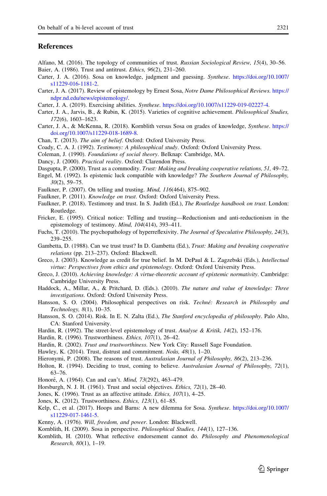#### <span id="page-22-0"></span>**References**

- Alfano, M. (2016). The topology of communities of trust. Russian Sociological Review, 15(4), 30–56. Baier, A. (1986). Trust and antitrust. Ethics, 96(2), 231–260.
- Carter, J. A. (2016). Sosa on knowledge, judgment and guessing. Synthese. [https://doi.org/10.1007/](https://doi.org/10.1007/s11229-016-1181-2) [s11229-016-1181-2.](https://doi.org/10.1007/s11229-016-1181-2)
- Carter, J. A. (2017). Review of epistemology by Ernest Sosa, Notre Dame Philosophical Reviews. [https://](https://ndpr.nd.edu/news/epistemology/) [ndpr.nd.edu/news/epistemology/](https://ndpr.nd.edu/news/epistemology/).
- Carter, J. A. (2019). Exercising abilities. Synthese. [https://doi.org/10.1007/s11229-019-02227-4.](https://doi.org/10.1007/s11229-019-02227-4)
- Carter, J. A., Jarvis, B., & Rubin, K. (2015). Varieties of cognitive achievement. Philosophical Studies, 172(6), 1603–1623.
- Carter, J. A., & McKenna, R. (2018). Kornblith versus Sosa on grades of knowledge, Synthese. [https://](https://doi.org/10.1007/s11229-018-1689-8) [doi.org/10.1007/s11229-018-1689-8.](https://doi.org/10.1007/s11229-018-1689-8)
- Chan, T. (2013). The aim of belief. Oxford: Oxford University Press.
- Coady, C. A. J. (1992). Testimony: A philosophical study. Oxford: Oxford University Press.
- Coleman, J. (1990). Foundations of social theory. Belknap: Cambridge, MA.
- Dancy, J. (2000). Practical reality. Oxford: Clarendon Press.
- Dasgupta, P. (2000). Trust as a commodity. Trust: Making and breaking cooperative relations, 51, 49–72.
- Engel, M. (1992). Is epistemic luck compatible with knowledge? The Southern Journal of Philosophy, 30(2), 59–75.
- Faulkner, P. (2007). On telling and trusting. Mind, 116(464), 875–902.
- Faulkner, P. (2011). Knowledge on trust. Oxford: Oxford University Press.
- Faulkner, P. (2018). Testimony and trust. In S. Judith (Ed.), The Routledge handbook on trust. London: Routledge.
- Fricker, E. (1995). Critical notice: Telling and trusting—Reductionism and anti-reductionism in the epistemology of testimony. Mind, 104(414), 393–411.
- Fuchs, T. (2010). The psychopathology of hyperreflexivity. The Journal of Speculative Philosophy, 24(3), 239–255.
- Gambetta, D. (1988). Can we trust trust? In D. Gambetta (Ed.), *Trust: Making and breaking cooperative* relations (pp. 213–237). Oxford: Blackwell.
- Greco, J. (2003). Knowledge as credit for true belief. In M. DePaul & L. Zagzebski (Eds.), Intellectual virtue: Perspectives from ethics and epistemology. Oxford: Oxford University Press.
- Greco, J. (2010). Achieving knowledge: A virtue-theoretic account of epistemic normativity. Cambridge: Cambridge University Press.
- Haddock, A., Millar, A., & Pritchard, D. (Eds.). (2010). The nature and value of knowledge: Three investigations. Oxford: Oxford University Press.
- Hansson, S. O. (2004). Philosophical perspectives on risk. Techné: Research in Philosophy and Technology, 8(1), 10–35.
- Hansson, S. O. (2014). Risk. In E. N. Zalta (Ed.), The Stanford encyclopedia of philosophy. Palo Alto, CA: Stanford University.
- Hardin, R. (1992). The street-level epistemology of trust. Analyse & Kritik, 14(2), 152–176.
- Hardin, R. (1996). Trustworthiness. Ethics, 107(1), 26–42.
- Hardin, R. (2002). Trust and trustworthiness. New York City: Russell Sage Foundation.
- Hawley, K. (2014). Trust, distrust and commitment.  $Noûs$ ,  $48(1)$ , 1–20.
- Hieronymi, P. (2008). The reasons of trust. Australasian Journal of Philosophy, 86(2), 213–236.
- Holton, R. (1994). Deciding to trust, coming to believe. Australasian Journal of Philosophy, 72(1), 63–76.
- Honoré, A. (1964). Can and can't. *Mind*, 73(292), 463-479.
- Horsburgh, N. J. H. (1961). Trust and social objectives. Ethics, 72(1), 28–40.
- Jones, K. (1996). Trust as an affective attitude. Ethics, 107(1), 4–25.
- Jones, K. (2012). Trustworthiness. Ethics, 123(1), 61–85.
- Kelp, C., et al. (2017). Hoops and Barns: A new dilemma for Sosa. Synthese. [https://doi.org/10.1007/](https://doi.org/10.1007/s11229-017-1461-5) [s11229-017-1461-5.](https://doi.org/10.1007/s11229-017-1461-5)
- Kenny, A. (1976). Will, freedom, and power. London: Blackwell.
- Kornblith, H. (2009). Sosa in perspective. Philosophical Studies, 144(1), 127–136.
- Kornblith, H. (2010). What reflective endorsement cannot do. Philosophy and Phenomenological Research, 80(1), 1–19.